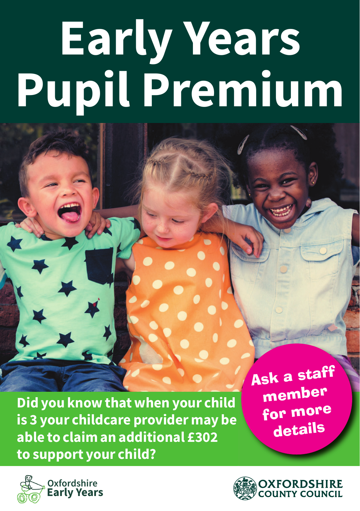# **Early Years Pupil Premium**

**Did you know that when your child is 3 your childcare provider may be able to claim an additional £302 to support your child?**

Ask a staff member for more details

-